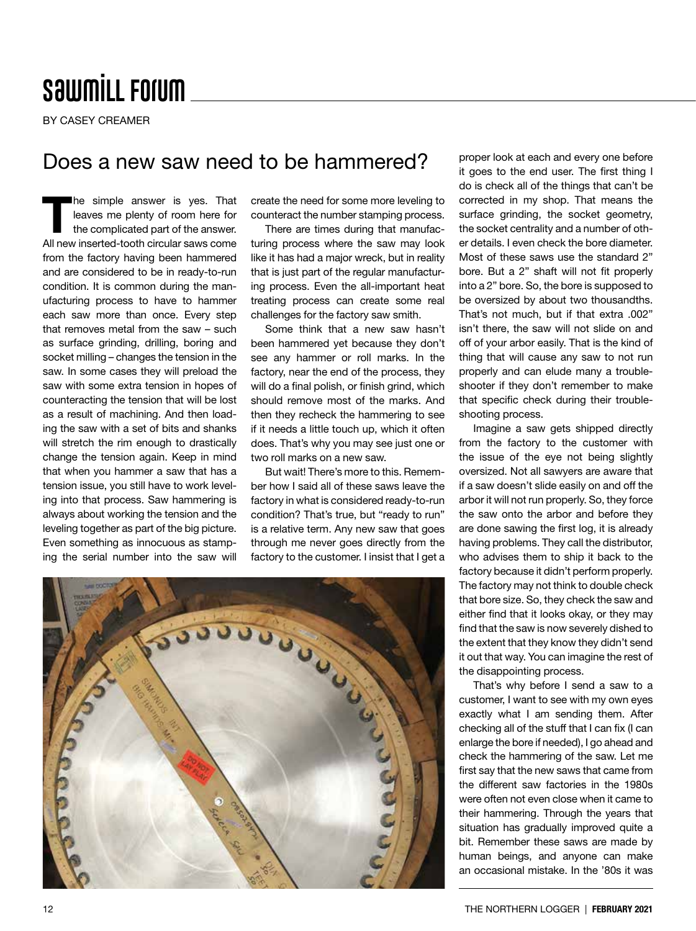## **SawmiLL Forum**

BY CASEY CREAMER

## Does a new saw need to be hammered?

The simple answer is yes. That leaves me plenty of room here for the complicated part of the answer. All new inserted-tooth circular saws come from the factory having been hammered and are considered to be in ready-to-run condition. It is common during the manufacturing process to have to hammer each saw more than once. Every step that removes metal from the saw – such as surface grinding, drilling, boring and socket milling – changes the tension in the saw. In some cases they will preload the saw with some extra tension in hopes of counteracting the tension that will be lost as a result of machining. And then loading the saw with a set of bits and shanks will stretch the rim enough to drastically change the tension again. Keep in mind that when you hammer a saw that has a tension issue, you still have to work leveling into that process. Saw hammering is always about working the tension and the leveling together as part of the big picture. Even something as innocuous as stamp-

create the need for some more leveling to counteract the number stamping process.

There are times during that manufacturing process where the saw may look like it has had a major wreck, but in reality that is just part of the regular manufacturing process. Even the all-important heat treating process can create some real challenges for the factory saw smith.

Some think that a new saw hasn't been hammered yet because they don't see any hammer or roll marks. In the factory, near the end of the process, they will do a final polish, or finish grind, which should remove most of the marks. And then they recheck the hammering to see if it needs a little touch up, which it often does. That's why you may see just one or two roll marks on a new saw.

But wait! There's more to this. Remember how I said all of these saws leave the factory in what is considered ready-to-run condition? That's true, but "ready to run" is a relative term. Any new saw that goes through me never goes directly from the factory to the customer. I insist that I get a

Imagine a saw gets shipped directly from the factory to the customer with the issue of the eye not being slightly oversized. Not all sawyers are aware that if a saw doesn't slide easily on and off the arbor it will not run properly. So, they force the saw onto the arbor and before they are done sawing the first log, it is already having problems. They call the distributor, who advises them to ship it back to the factory because it didn't perform properly. The factory may not think to double check that bore size. So, they check the saw and either find that it looks okay, or they may find that the saw is now severely dished to the extent that they know they didn't send it out that way. You can imagine the rest of

shooting process.

proper look at each and every one before it goes to the end user. The first thing I do is check all of the things that can't be corrected in my shop. That means the surface grinding, the socket geometry, the socket centrality and a number of other details. I even check the bore diameter. Most of these saws use the standard 2" bore. But a 2" shaft will not fit properly into a 2" bore. So, the bore is supposed to be oversized by about two thousandths. That's not much, but if that extra .002" isn't there, the saw will not slide on and off of your arbor easily. That is the kind of thing that will cause any saw to not run properly and can elude many a troubleshooter if they don't remember to make that specific check during their trouble-

That's why before I send a saw to a customer, I want to see with my own eyes exactly what I am sending them. After checking all of the stuff that I can fix (I can enlarge the bore if needed), I go ahead and check the hammering of the saw. Let me first say that the new saws that came from the different saw factories in the 1980s were often not even close when it came to their hammering. Through the years that situation has gradually improved quite a bit. Remember these saws are made by human beings, and anyone can make an occasional mistake. In the '80s it was

the disappointing process.